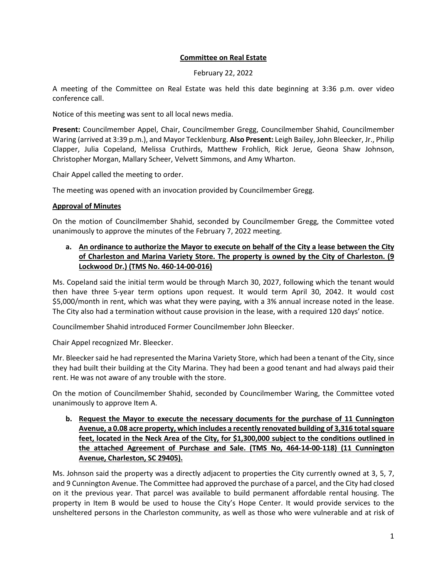## **Committee on Real Estate**

February 22, 2022

A meeting of the Committee on Real Estate was held this date beginning at 3:36 p.m. over video conference call.

Notice of this meeting was sent to all local news media.

**Present:** Councilmember Appel, Chair, Councilmember Gregg, Councilmember Shahid, Councilmember Waring (arrived at 3:39 p.m.), and Mayor Tecklenburg. **Also Present:** Leigh Bailey, John Bleecker, Jr., Philip Clapper, Julia Copeland, Melissa Cruthirds, Matthew Frohlich, Rick Jerue, Geona Shaw Johnson, Christopher Morgan, Mallary Scheer, Velvett Simmons, and Amy Wharton.

Chair Appel called the meeting to order.

The meeting was opened with an invocation provided by Councilmember Gregg.

## **Approval of Minutes**

On the motion of Councilmember Shahid, seconded by Councilmember Gregg, the Committee voted unanimously to approve the minutes of the February 7, 2022 meeting.

# **a. An ordinance to authorize the Mayor to execute on behalf of the City a lease between the City of Charleston and Marina Variety Store. The property is owned by the City of Charleston. (9 Lockwood Dr.) (TMS No. 460-14-00-016)**

Ms. Copeland said the initial term would be through March 30, 2027, following which the tenant would then have three 5-year term options upon request. It would term April 30, 2042. It would cost \$5,000/month in rent, which was what they were paying, with a 3% annual increase noted in the lease. The City also had a termination without cause provision in the lease, with a required 120 days' notice.

Councilmember Shahid introduced Former Councilmember John Bleecker.

Chair Appel recognized Mr. Bleecker.

Mr. Bleecker said he had represented the Marina Variety Store, which had been a tenant of the City, since they had built their building at the City Marina. They had been a good tenant and had always paid their rent. He was not aware of any trouble with the store.

On the motion of Councilmember Shahid, seconded by Councilmember Waring, the Committee voted unanimously to approve Item A.

**b. Request the Mayor to execute the necessary documents for the purchase of 11 Cunnington Avenue, a 0.08 acre property, which includes a recently renovated building of 3,316 total square feet, located in the Neck Area of the City, for \$1,300,000 subject to the conditions outlined in the attached Agreement of Purchase and Sale. (TMS No, 464-14-00-118) (11 Cunnington Avenue, Charleston, SC 29405).**

Ms. Johnson said the property was a directly adjacent to properties the City currently owned at 3, 5, 7, and 9 Cunnington Avenue. The Committee had approved the purchase of a parcel, and the City had closed on it the previous year. That parcel was available to build permanent affordable rental housing. The property in Item B would be used to house the City's Hope Center. It would provide services to the unsheltered persons in the Charleston community, as well as those who were vulnerable and at risk of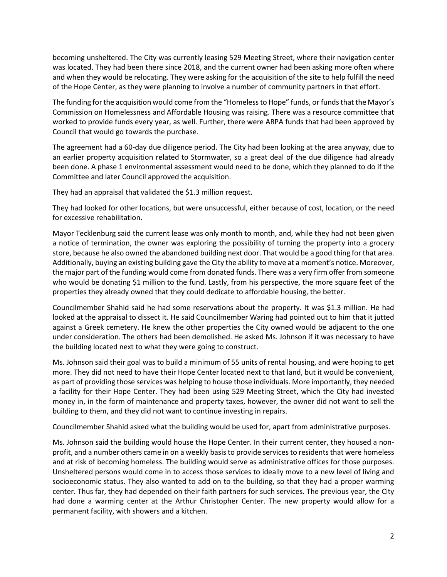becoming unsheltered. The City was currently leasing 529 Meeting Street, where their navigation center was located. They had been there since 2018, and the current owner had been asking more often where and when they would be relocating. They were asking for the acquisition of the site to help fulfill the need of the Hope Center, as they were planning to involve a number of community partners in that effort.

The funding for the acquisition would come from the "Homeless to Hope" funds, or funds that the Mayor's Commission on Homelessness and Affordable Housing was raising. There was a resource committee that worked to provide funds every year, as well. Further, there were ARPA funds that had been approved by Council that would go towards the purchase.

The agreement had a 60-day due diligence period. The City had been looking at the area anyway, due to an earlier property acquisition related to Stormwater, so a great deal of the due diligence had already been done. A phase 1 environmental assessment would need to be done, which they planned to do if the Committee and later Council approved the acquisition.

They had an appraisal that validated the \$1.3 million request.

They had looked for other locations, but were unsuccessful, either because of cost, location, or the need for excessive rehabilitation.

Mayor Tecklenburg said the current lease was only month to month, and, while they had not been given a notice of termination, the owner was exploring the possibility of turning the property into a grocery store, because he also owned the abandoned building next door. That would be a good thing for that area. Additionally, buying an existing building gave the City the ability to move at a moment's notice. Moreover, the major part of the funding would come from donated funds. There was a very firm offer from someone who would be donating \$1 million to the fund. Lastly, from his perspective, the more square feet of the properties they already owned that they could dedicate to affordable housing, the better.

Councilmember Shahid said he had some reservations about the property. It was \$1.3 million. He had looked at the appraisal to dissect it. He said Councilmember Waring had pointed out to him that it jutted against a Greek cemetery. He knew the other properties the City owned would be adjacent to the one under consideration. The others had been demolished. He asked Ms. Johnson if it was necessary to have the building located next to what they were going to construct.

Ms. Johnson said their goal was to build a minimum of 55 units of rental housing, and were hoping to get more. They did not need to have their Hope Center located next to that land, but it would be convenient, as part of providing those services was helping to house those individuals. More importantly, they needed a facility for their Hope Center. They had been using 529 Meeting Street, which the City had invested money in, in the form of maintenance and property taxes, however, the owner did not want to sell the building to them, and they did not want to continue investing in repairs.

Councilmember Shahid asked what the building would be used for, apart from administrative purposes.

Ms. Johnson said the building would house the Hope Center. In their current center, they housed a nonprofit, and a number others came in on a weekly basis to provide services to residents that were homeless and at risk of becoming homeless. The building would serve as administrative offices for those purposes. Unsheltered persons would come in to access those services to ideally move to a new level of living and socioeconomic status. They also wanted to add on to the building, so that they had a proper warming center. Thus far, they had depended on their faith partners for such services. The previous year, the City had done a warming center at the Arthur Christopher Center. The new property would allow for a permanent facility, with showers and a kitchen.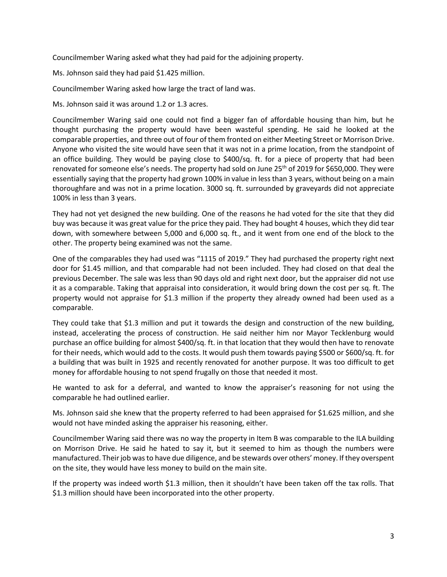Councilmember Waring asked what they had paid for the adjoining property.

Ms. Johnson said they had paid \$1.425 million.

Councilmember Waring asked how large the tract of land was.

Ms. Johnson said it was around 1.2 or 1.3 acres.

Councilmember Waring said one could not find a bigger fan of affordable housing than him, but he thought purchasing the property would have been wasteful spending. He said he looked at the comparable properties, and three out of four of them fronted on either Meeting Street or Morrison Drive. Anyone who visited the site would have seen that it was not in a prime location, from the standpoint of an office building. They would be paying close to \$400/sq. ft. for a piece of property that had been renovated for someone else's needs. The property had sold on June 25<sup>th</sup> of 2019 for \$650,000. They were essentially saying that the property had grown 100% in value in less than 3 years, without being on a main thoroughfare and was not in a prime location. 3000 sq. ft. surrounded by graveyards did not appreciate 100% in less than 3 years.

They had not yet designed the new building. One of the reasons he had voted for the site that they did buy was because it was great value for the price they paid. They had bought 4 houses, which they did tear down, with somewhere between 5,000 and 6,000 sq. ft., and it went from one end of the block to the other. The property being examined was not the same.

One of the comparables they had used was "1115 of 2019." They had purchased the property right next door for \$1.45 million, and that comparable had not been included. They had closed on that deal the previous December. The sale was less than 90 days old and right next door, but the appraiser did not use it as a comparable. Taking that appraisal into consideration, it would bring down the cost per sq. ft. The property would not appraise for \$1.3 million if the property they already owned had been used as a comparable.

They could take that \$1.3 million and put it towards the design and construction of the new building, instead, accelerating the process of construction. He said neither him nor Mayor Tecklenburg would purchase an office building for almost \$400/sq. ft. in that location that they would then have to renovate for their needs, which would add to the costs. It would push them towards paying \$500 or \$600/sq. ft. for a building that was built in 1925 and recently renovated for another purpose. It was too difficult to get money for affordable housing to not spend frugally on those that needed it most.

He wanted to ask for a deferral, and wanted to know the appraiser's reasoning for not using the comparable he had outlined earlier.

Ms. Johnson said she knew that the property referred to had been appraised for \$1.625 million, and she would not have minded asking the appraiser his reasoning, either.

Councilmember Waring said there was no way the property in Item B was comparable to the ILA building on Morrison Drive. He said he hated to say it, but it seemed to him as though the numbers were manufactured. Their job was to have due diligence, and be stewards over others' money. If they overspent on the site, they would have less money to build on the main site.

If the property was indeed worth \$1.3 million, then it shouldn't have been taken off the tax rolls. That \$1.3 million should have been incorporated into the other property.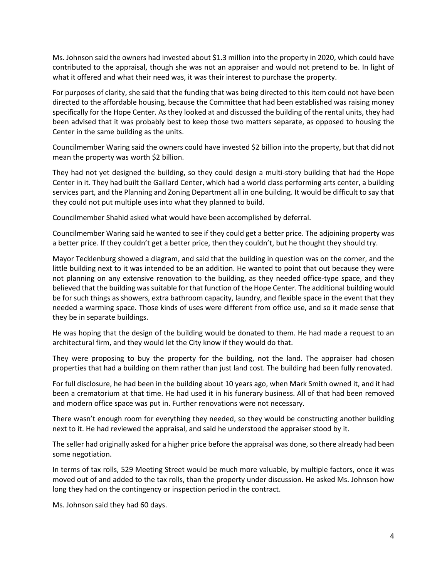Ms. Johnson said the owners had invested about \$1.3 million into the property in 2020, which could have contributed to the appraisal, though she was not an appraiser and would not pretend to be. In light of what it offered and what their need was, it was their interest to purchase the property.

For purposes of clarity, she said that the funding that was being directed to this item could not have been directed to the affordable housing, because the Committee that had been established was raising money specifically for the Hope Center. As they looked at and discussed the building of the rental units, they had been advised that it was probably best to keep those two matters separate, as opposed to housing the Center in the same building as the units.

Councilmember Waring said the owners could have invested \$2 billion into the property, but that did not mean the property was worth \$2 billion.

They had not yet designed the building, so they could design a multi-story building that had the Hope Center in it. They had built the Gaillard Center, which had a world class performing arts center, a building services part, and the Planning and Zoning Department all in one building. It would be difficult to say that they could not put multiple uses into what they planned to build.

Councilmember Shahid asked what would have been accomplished by deferral.

Councilmember Waring said he wanted to see if they could get a better price. The adjoining property was a better price. If they couldn't get a better price, then they couldn't, but he thought they should try.

Mayor Tecklenburg showed a diagram, and said that the building in question was on the corner, and the little building next to it was intended to be an addition. He wanted to point that out because they were not planning on any extensive renovation to the building, as they needed office-type space, and they believed that the building was suitable for that function of the Hope Center. The additional building would be for such things as showers, extra bathroom capacity, laundry, and flexible space in the event that they needed a warming space. Those kinds of uses were different from office use, and so it made sense that they be in separate buildings.

He was hoping that the design of the building would be donated to them. He had made a request to an architectural firm, and they would let the City know if they would do that.

They were proposing to buy the property for the building, not the land. The appraiser had chosen properties that had a building on them rather than just land cost. The building had been fully renovated.

For full disclosure, he had been in the building about 10 years ago, when Mark Smith owned it, and it had been a crematorium at that time. He had used it in his funerary business. All of that had been removed and modern office space was put in. Further renovations were not necessary.

There wasn't enough room for everything they needed, so they would be constructing another building next to it. He had reviewed the appraisal, and said he understood the appraiser stood by it.

The seller had originally asked for a higher price before the appraisal was done, so there already had been some negotiation.

In terms of tax rolls, 529 Meeting Street would be much more valuable, by multiple factors, once it was moved out of and added to the tax rolls, than the property under discussion. He asked Ms. Johnson how long they had on the contingency or inspection period in the contract.

Ms. Johnson said they had 60 days.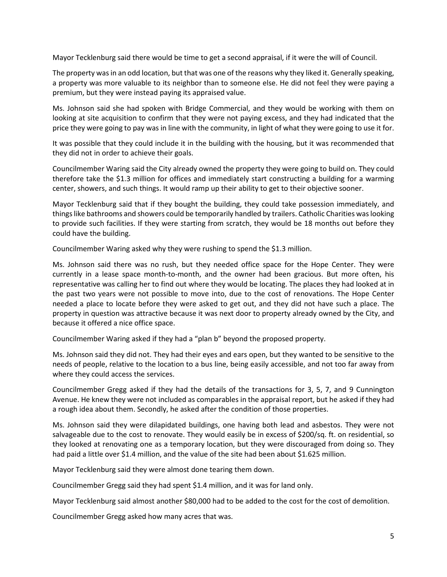Mayor Tecklenburg said there would be time to get a second appraisal, if it were the will of Council.

The property was in an odd location, but that was one of the reasons why they liked it. Generally speaking, a property was more valuable to its neighbor than to someone else. He did not feel they were paying a premium, but they were instead paying its appraised value.

Ms. Johnson said she had spoken with Bridge Commercial, and they would be working with them on looking at site acquisition to confirm that they were not paying excess, and they had indicated that the price they were going to pay was in line with the community, in light of what they were going to use it for.

It was possible that they could include it in the building with the housing, but it was recommended that they did not in order to achieve their goals.

Councilmember Waring said the City already owned the property they were going to build on. They could therefore take the \$1.3 million for offices and immediately start constructing a building for a warming center, showers, and such things. It would ramp up their ability to get to their objective sooner.

Mayor Tecklenburg said that if they bought the building, they could take possession immediately, and things like bathrooms and showers could be temporarily handled by trailers. Catholic Charities was looking to provide such facilities. If they were starting from scratch, they would be 18 months out before they could have the building.

Councilmember Waring asked why they were rushing to spend the \$1.3 million.

Ms. Johnson said there was no rush, but they needed office space for the Hope Center. They were currently in a lease space month-to-month, and the owner had been gracious. But more often, his representative was calling her to find out where they would be locating. The places they had looked at in the past two years were not possible to move into, due to the cost of renovations. The Hope Center needed a place to locate before they were asked to get out, and they did not have such a place. The property in question was attractive because it was next door to property already owned by the City, and because it offered a nice office space.

Councilmember Waring asked if they had a "plan b" beyond the proposed property.

Ms. Johnson said they did not. They had their eyes and ears open, but they wanted to be sensitive to the needs of people, relative to the location to a bus line, being easily accessible, and not too far away from where they could access the services.

Councilmember Gregg asked if they had the details of the transactions for 3, 5, 7, and 9 Cunnington Avenue. He knew they were not included as comparables in the appraisal report, but he asked if they had a rough idea about them. Secondly, he asked after the condition of those properties.

Ms. Johnson said they were dilapidated buildings, one having both lead and asbestos. They were not salvageable due to the cost to renovate. They would easily be in excess of \$200/sq. ft. on residential, so they looked at renovating one as a temporary location, but they were discouraged from doing so. They had paid a little over \$1.4 million, and the value of the site had been about \$1.625 million.

Mayor Tecklenburg said they were almost done tearing them down.

Councilmember Gregg said they had spent \$1.4 million, and it was for land only.

Mayor Tecklenburg said almost another \$80,000 had to be added to the cost for the cost of demolition.

Councilmember Gregg asked how many acres that was.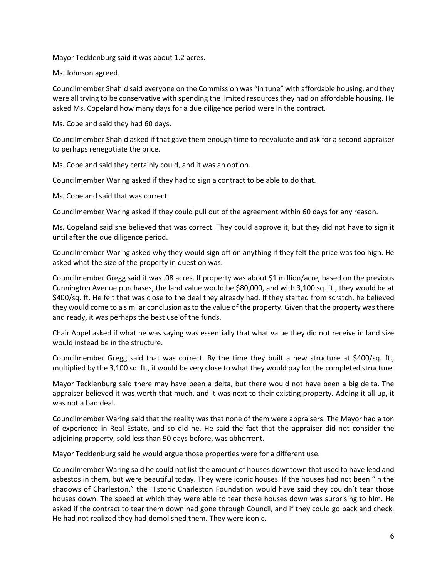Mayor Tecklenburg said it was about 1.2 acres.

Ms. Johnson agreed.

Councilmember Shahid said everyone on the Commission was "in tune" with affordable housing, and they were all trying to be conservative with spending the limited resources they had on affordable housing. He asked Ms. Copeland how many days for a due diligence period were in the contract.

Ms. Copeland said they had 60 days.

Councilmember Shahid asked if that gave them enough time to reevaluate and ask for a second appraiser to perhaps renegotiate the price.

Ms. Copeland said they certainly could, and it was an option.

Councilmember Waring asked if they had to sign a contract to be able to do that.

Ms. Copeland said that was correct.

Councilmember Waring asked if they could pull out of the agreement within 60 days for any reason.

Ms. Copeland said she believed that was correct. They could approve it, but they did not have to sign it until after the due diligence period.

Councilmember Waring asked why they would sign off on anything if they felt the price was too high. He asked what the size of the property in question was.

Councilmember Gregg said it was .08 acres. If property was about \$1 million/acre, based on the previous Cunnington Avenue purchases, the land value would be \$80,000, and with 3,100 sq. ft., they would be at \$400/sq. ft. He felt that was close to the deal they already had. If they started from scratch, he believed they would come to a similar conclusion as to the value of the property. Given that the property was there and ready, it was perhaps the best use of the funds.

Chair Appel asked if what he was saying was essentially that what value they did not receive in land size would instead be in the structure.

Councilmember Gregg said that was correct. By the time they built a new structure at \$400/sq. ft., multiplied by the 3,100 sq. ft., it would be very close to what they would pay for the completed structure.

Mayor Tecklenburg said there may have been a delta, but there would not have been a big delta. The appraiser believed it was worth that much, and it was next to their existing property. Adding it all up, it was not a bad deal.

Councilmember Waring said that the reality was that none of them were appraisers. The Mayor had a ton of experience in Real Estate, and so did he. He said the fact that the appraiser did not consider the adjoining property, sold less than 90 days before, was abhorrent.

Mayor Tecklenburg said he would argue those properties were for a different use.

Councilmember Waring said he could not list the amount of houses downtown that used to have lead and asbestos in them, but were beautiful today. They were iconic houses. If the houses had not been "in the shadows of Charleston," the Historic Charleston Foundation would have said they couldn't tear those houses down. The speed at which they were able to tear those houses down was surprising to him. He asked if the contract to tear them down had gone through Council, and if they could go back and check. He had not realized they had demolished them. They were iconic.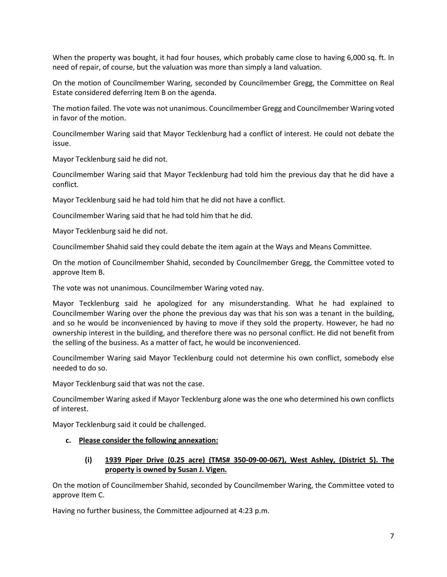When the property was bought, it had four houses, which probably came close to having 6,000 sq. ft. In need of repair, of course, but the valuation was more than simply a land valuation.

On the motion of Councilmember Waring, seconded by Councilmember Gregg, the Committee on Real Estate considered deferring Item B on the agenda.

The motion failed. The vote was not unanimous. Councilmember Gregg and Councilmember Waring voted in favor of the motion.

Councilmember Waring said that Mayor Tecklenburg had a conflict of interest. He could not debate the issue.

Mayor Tecklenburg said he did not.

Councilmember Waring said that Mayor Tecklenburg had told him the previous day that he did have a conflict.

Mayor Tecklenburg said he had told him that he did not have a conflict.

Councilmember Waring said that he had told him that he did.

Mayor Tecklenburg said he did not.

Councilmember Shahid said they could debate the item again at the Ways and Means Committee.

On the motion of Councilmember Shahid, seconded by Councilmember Gregg, the Committee voted to approve Item B.

The vote was not unanimous. Councilmember Waring voted nay.

Mayor Tecklenburg said he apologized for any misunderstanding. What he had explained to Councilmember Waring over the phone the previous day was that his son was a tenant in the building, and so he would be inconvenienced by having to move if they sold the property. However, he had no ownership interest in the building, and therefore there was no personal conflict. He did not benefit from the selling of the business. As a matter of fact, he would be inconvenienced.

Councilmember Waring said Mayor Tecklenburg could not determine his own conflict, somebody else needed to do so.

Mayor Tecklenburg said that was not the case.

Councilmember Waring asked if Mayor Tecklenburg alone was the one who determined his own conflicts of interest.

Mayor Tecklenburg said it could be challenged.

#### **c. Please consider the following annexation:**

## **(i) 1939 Piper Drive (0.25 acre) (TMS# 350-09-00-067), West Ashley, (District 5). The property is owned by Susan J. Vigen.**

On the motion of Councilmember Shahid, seconded by Councilmember Waring, the Committee voted to approve Item C.

Having no further business, the Committee adjourned at 4:23 p.m.